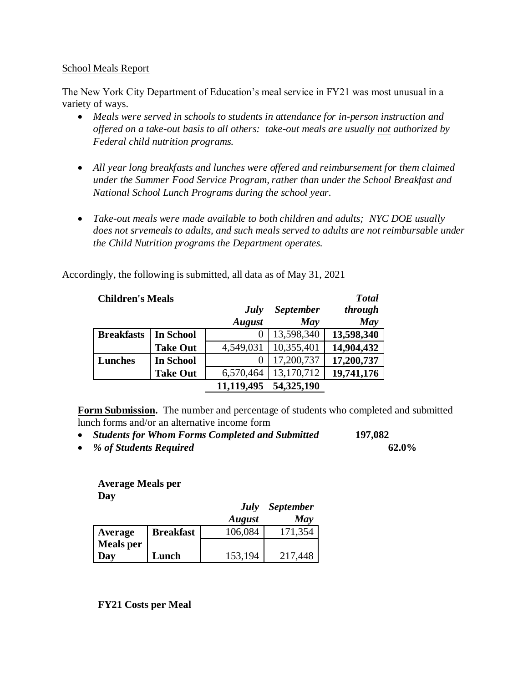## School Meals Report

The New York City Department of Education's meal service in FY21 was most unusual in a variety of ways.

- *Meals were served in schools to students in attendance for in-person instruction and offered on a take-out basis to all others: take-out meals are usually not authorized by Federal child nutrition programs.*
- *All year long breakfasts and lunches were offered and reimbursement for them claimed under the Summer Food Service Program, rather than under the School Breakfast and National School Lunch Programs during the school year.*
- *Take-out meals were made available to both children and adults; NYC DOE usually does not srvemeals to adults, and such meals served to adults are not reimbursable under the Child Nutrition programs the Department operates.*

| <b>Children's Meals</b> |                  |               |                  | <b>Total</b> |
|-------------------------|------------------|---------------|------------------|--------------|
|                         |                  | July          | <b>September</b> | through      |
|                         |                  | <b>August</b> | May              | <b>May</b>   |
| <b>Breakfasts</b>       | <b>In School</b> |               | 13,598,340       | 13,598,340   |
|                         | <b>Take Out</b>  | 4,549,031     | 10,355,401       | 14,904,432   |
| <b>Lunches</b>          | <b>In School</b> | 0             | 17,200,737       | 17,200,737   |
|                         | <b>Take Out</b>  | 6,570,464     | 13,170,712       | 19,741,176   |
|                         |                  | 11,119,495    | 54,325,190       |              |

Accordingly, the following is submitted, all data as of May 31, 2021

**Form Submission.** The number and percentage of students who completed and submitted lunch forms and/or an alternative income form

- *Students for Whom Forms Completed and Submitted* **197,082**
- *% of Students Required* **62.0%**

## **Average Meals per Day**

|                  |                  | July          | <b>September</b> |
|------------------|------------------|---------------|------------------|
|                  |                  | <b>August</b> | May              |
| Average          | <b>Breakfast</b> | 106,084       | 171,354          |
| <b>Meals</b> per |                  |               |                  |
| Day              | Lunch            | 153,194       | 217,448          |

**FY21 Costs per Meal**